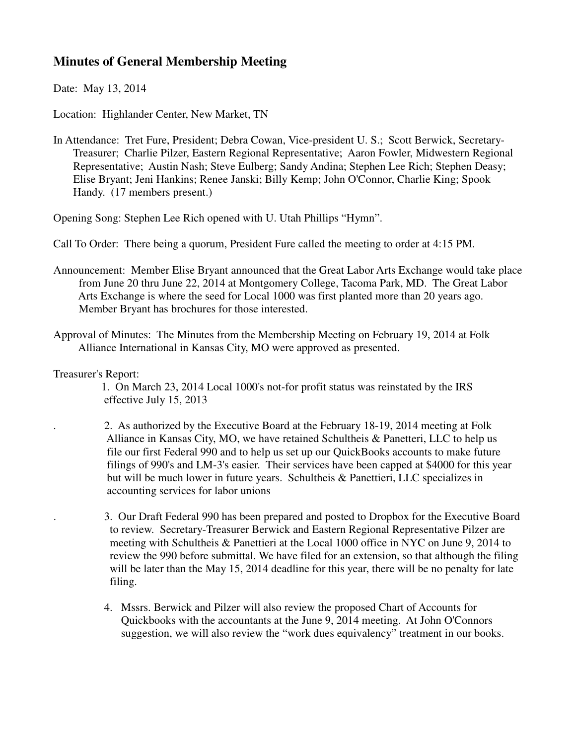## **Minutes of General Membership Meeting**

Date: May 13, 2014

Location: Highlander Center, New Market, TN

In Attendance: Tret Fure, President; Debra Cowan, Vice-president U. S.; Scott Berwick, Secretary- Treasurer; Charlie Pilzer, Eastern Regional Representative; Aaron Fowler, Midwestern Regional Representative; Austin Nash; Steve Eulberg; Sandy Andina; Stephen Lee Rich; Stephen Deasy; Elise Bryant; Jeni Hankins; Renee Janski; Billy Kemp; John O'Connor, Charlie King; Spook Handy. (17 members present.)

Opening Song: Stephen Lee Rich opened with U. Utah Phillips "Hymn".

Call To Order: There being a quorum, President Fure called the meeting to order at 4:15 PM.

- Announcement: Member Elise Bryant announced that the Great Labor Arts Exchange would take place from June 20 thru June 22, 2014 at Montgomery College, Tacoma Park, MD. The Great Labor Arts Exchange is where the seed for Local 1000 was first planted more than 20 years ago. Member Bryant has brochures for those interested.
- Approval of Minutes: The Minutes from the Membership Meeting on February 19, 2014 at Folk Alliance International in Kansas City, MO were approved as presented.
- Treasurer's Report:

 1. On March 23, 2014 Local 1000's not-for profit status was reinstated by the IRS effective July 15, 2013

- . 2. As authorized by the Executive Board at the February 18-19, 2014 meeting at Folk Alliance in Kansas City, MO, we have retained Schultheis & Panetteri, LLC to help us file our first Federal 990 and to help us set up our QuickBooks accounts to make future filings of 990's and LM-3's easier. Their services have been capped at \$4000 for this year but will be much lower in future years. Schultheis & Panettieri, LLC specializes in accounting services for labor unions
- . 3. Our Draft Federal 990 has been prepared and posted to Dropbox for the Executive Board to review. Secretary-Treasurer Berwick and Eastern Regional Representative Pilzer are meeting with Schultheis & Panettieri at the Local 1000 office in NYC on June 9, 2014 to review the 990 before submittal. We have filed for an extension, so that although the filing will be later than the May 15, 2014 deadline for this year, there will be no penalty for late filing.
- 4. Mssrs. Berwick and Pilzer will also review the proposed Chart of Accounts for Quickbooks with the accountants at the June 9, 2014 meeting. At John O'Connors suggestion, we will also review the "work dues equivalency" treatment in our books.